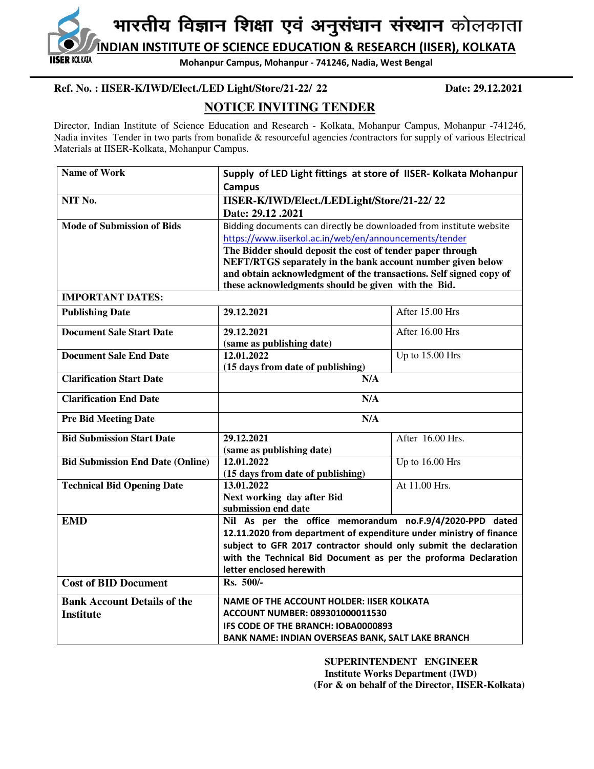**INDIAN INSTITUTE OF SCIENCE EDUCATION & RESEARCH (IISER), KOLKATA IISER KOLKATA** 

**Mohanpur Campus, Mohanpur - 741246, Nadia, West Bengal**

## **Ref. No. : IISER-K/IWD/Elect./LED Light/Store/21-22/ 22 Date: 29.12.2021**

# **NOTICE INVITING TENDER**

Director, Indian Institute of Science Education and Research - Kolkata, Mohanpur Campus, Mohanpur -741246, Nadia invites Tender in two parts from bonafide & resourceful agencies /contractors for supply of various Electrical Materials at IISER-Kolkata, Mohanpur Campus.

| <b>Name of Work</b>                     | Supply of LED Light fittings at store of IISER- Kolkata Mohanpur    |                  |  |  |  |
|-----------------------------------------|---------------------------------------------------------------------|------------------|--|--|--|
|                                         | <b>Campus</b>                                                       |                  |  |  |  |
| NIT No.                                 | IISER-K/IWD/Elect./LEDLight/Store/21-22/22                          |                  |  |  |  |
|                                         | Date: 29.12.2021                                                    |                  |  |  |  |
| <b>Mode of Submission of Bids</b>       | Bidding documents can directly be downloaded from institute website |                  |  |  |  |
|                                         | https://www.iiserkol.ac.in/web/en/announcements/tender              |                  |  |  |  |
|                                         | The Bidder should deposit the cost of tender paper through          |                  |  |  |  |
|                                         | NEFT/RTGS separately in the bank account number given below         |                  |  |  |  |
|                                         | and obtain acknowledgment of the transactions. Self signed copy of  |                  |  |  |  |
|                                         | these acknowledgments should be given with the Bid.                 |                  |  |  |  |
| <b>IMPORTANT DATES:</b>                 |                                                                     |                  |  |  |  |
| <b>Publishing Date</b>                  | 29.12.2021                                                          | After 15.00 Hrs  |  |  |  |
| <b>Document Sale Start Date</b>         | 29.12.2021                                                          | After 16.00 Hrs  |  |  |  |
|                                         | (same as publishing date)                                           |                  |  |  |  |
| <b>Document Sale End Date</b>           | 12.01.2022                                                          | Up to 15.00 Hrs  |  |  |  |
|                                         | (15 days from date of publishing)                                   |                  |  |  |  |
| <b>Clarification Start Date</b>         | N/A                                                                 |                  |  |  |  |
| <b>Clarification End Date</b>           | N/A                                                                 |                  |  |  |  |
| <b>Pre Bid Meeting Date</b>             | N/A                                                                 |                  |  |  |  |
| <b>Bid Submission Start Date</b>        | 29.12.2021                                                          | After 16.00 Hrs. |  |  |  |
|                                         | (same as publishing date)                                           |                  |  |  |  |
| <b>Bid Submission End Date (Online)</b> | 12.01.2022<br>Up to 16.00 Hrs                                       |                  |  |  |  |
|                                         | (15 days from date of publishing)                                   |                  |  |  |  |
| <b>Technical Bid Opening Date</b>       | At 11.00 Hrs.<br>13.01.2022                                         |                  |  |  |  |
|                                         | Next working day after Bid<br>submission end date                   |                  |  |  |  |
| <b>EMD</b>                              | Nil As per the office memorandum no.F.9/4/2020-PPD dated            |                  |  |  |  |
|                                         | 12.11.2020 from department of expenditure under ministry of finance |                  |  |  |  |
|                                         | subject to GFR 2017 contractor should only submit the declaration   |                  |  |  |  |
|                                         | with the Technical Bid Document as per the proforma Declaration     |                  |  |  |  |
|                                         | letter enclosed herewith                                            |                  |  |  |  |
| <b>Cost of BID Document</b>             | Rs. 500/-                                                           |                  |  |  |  |
| <b>Bank Account Details of the</b>      | <b>NAME OF THE ACCOUNT HOLDER: IISER KOLKATA</b>                    |                  |  |  |  |
| <b>Institute</b>                        | ACCOUNT NUMBER: 089301000011530                                     |                  |  |  |  |
|                                         | IFS CODE OF THE BRANCH: IOBA0000893                                 |                  |  |  |  |
|                                         | BANK NAME: INDIAN OVERSEAS BANK, SALT LAKE BRANCH                   |                  |  |  |  |

 **SUPERINTENDENT ENGINEER Institute Works Department (IWD) (For & on behalf of the Director, IISER-Kolkata)**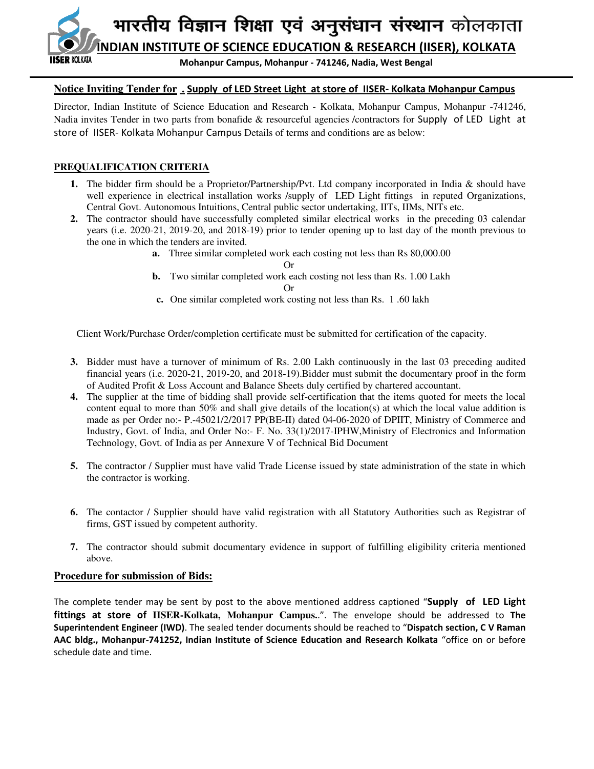

## **Notice Inviting Tender for . Supply of LED Street Light at store of IISER- Kolkata Mohanpur Campus**

Director, Indian Institute of Science Education and Research - Kolkata, Mohanpur Campus, Mohanpur -741246, Nadia invites Tender in two parts from bonafide & resourceful agencies /contractors for Supply of LED Light at store of IISER- Kolkata Mohanpur Campus Details of terms and conditions are as below:

## **PREQUALIFICATION CRITERIA**

- **1.** The bidder firm should be a Proprietor/Partnership/Pvt. Ltd company incorporated in India & should have well experience in electrical installation works /supply of LED Light fittings in reputed Organizations, Central Govt. Autonomous Intuitions, Central public sector undertaking, IITs, IIMs, NITs etc.
- **2.** The contractor should have successfully completed similar electrical works in the preceding 03 calendar years (i.e. 2020-21, 2019-20, and 2018-19) prior to tender opening up to last day of the month previous to the one in which the tenders are invited.
	- **a.** Three similar completed work each costing not less than Rs 80,000.00

Or

- **b.** Two similar completed work each costing not less than Rs. 1.00 Lakh Or
- **c.** One similar completed work costing not less than Rs. 1 .60 lakh

Client Work/Purchase Order/completion certificate must be submitted for certification of the capacity.

- **3.** Bidder must have a turnover of minimum of Rs. 2.00 Lakh continuously in the last 03 preceding audited financial years (i.e. 2020-21, 2019-20, and 2018-19).Bidder must submit the documentary proof in the form of Audited Profit & Loss Account and Balance Sheets duly certified by chartered accountant.
- **4.** The supplier at the time of bidding shall provide self-certification that the items quoted for meets the local content equal to more than 50% and shall give details of the location(s) at which the local value addition is made as per Order no:- P.-45021/2/2017 PP(BE-II) dated 04-06-2020 of DPIIT, Ministry of Commerce and Industry, Govt. of India, and Order No:- F. No. 33(1)/2017-IPHW,Ministry of Electronics and Information Technology, Govt. of India as per Annexure V of Technical Bid Document
- **5.** The contractor / Supplier must have valid Trade License issued by state administration of the state in which the contractor is working.
- **6.** The contactor / Supplier should have valid registration with all Statutory Authorities such as Registrar of firms, GST issued by competent authority.
- **7.** The contractor should submit documentary evidence in support of fulfilling eligibility criteria mentioned above.

## **Procedure for submission of Bids:**

The complete tender may be sent by post to the above mentioned address captioned "**Supply of LED Light fittings at store of IISER-Kolkata, Mohanpur Campus.**.". The envelope should be addressed to **The Superintendent Engineer (IWD)**. The sealed tender documents should be reached to "**Dispatch section, C V Raman AAC bldg., Mohanpur-741252, Indian Institute of Science Education and Research Kolkata** "office on or before schedule date and time.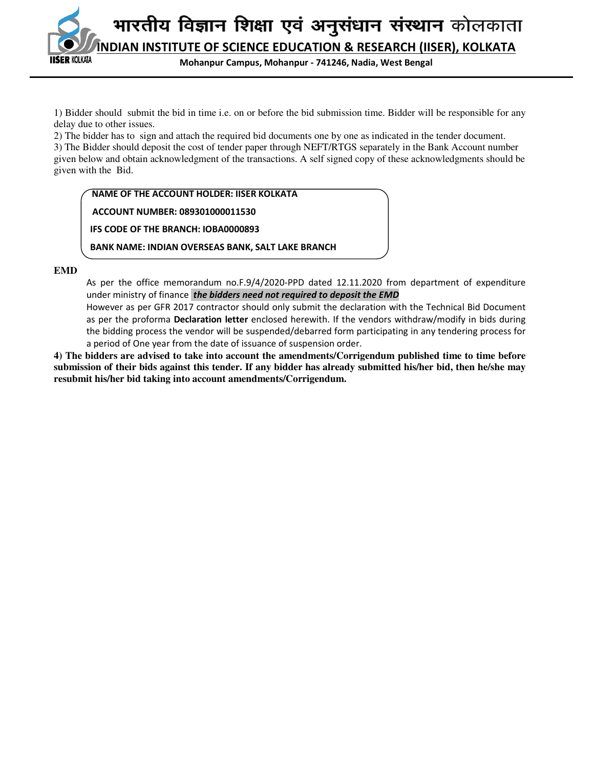

**Mohanpur Campus, Mohanpur - 741246, Nadia, West Bengal**

1) Bidder should submit the bid in time i.e. on or before the bid submission time. Bidder will be responsible for any delay due to other issues.

2) The bidder has to sign and attach the required bid documents one by one as indicated in the tender document. 3) The Bidder should deposit the cost of tender paper through NEFT/RTGS separately in the Bank Account number given below and obtain acknowledgment of the transactions. A self signed copy of these acknowledgments should be given with the Bid.

 **NAME OF THE ACCOUNT HOLDER: IISER KOLKATA** 

 **ACCOUNT NUMBER: 089301000011530** 

 **IFS CODE OF THE BRANCH: IOBA0000893**

 **BANK NAME: INDIAN OVERSEAS BANK, SALT LAKE BRANCH**

**EMD**

As per the office memorandum no.F.9/4/2020-PPD dated 12.11.2020 from department of expenditure under ministry of finance *the bidders need not required to deposit the EMD* 

However as per GFR 2017 contractor should only submit the declaration with the Technical Bid Document as per the proforma **Declaration letter** enclosed herewith. If the vendors withdraw/modify in bids during the bidding process the vendor will be suspended/debarred form participating in any tendering process for a period of One year from the date of issuance of suspension order.

**4) The bidders are advised to take into account the amendments/Corrigendum published time to time before submission of their bids against this tender. If any bidder has already submitted his/her bid, then he/she may resubmit his/her bid taking into account amendments/Corrigendum.**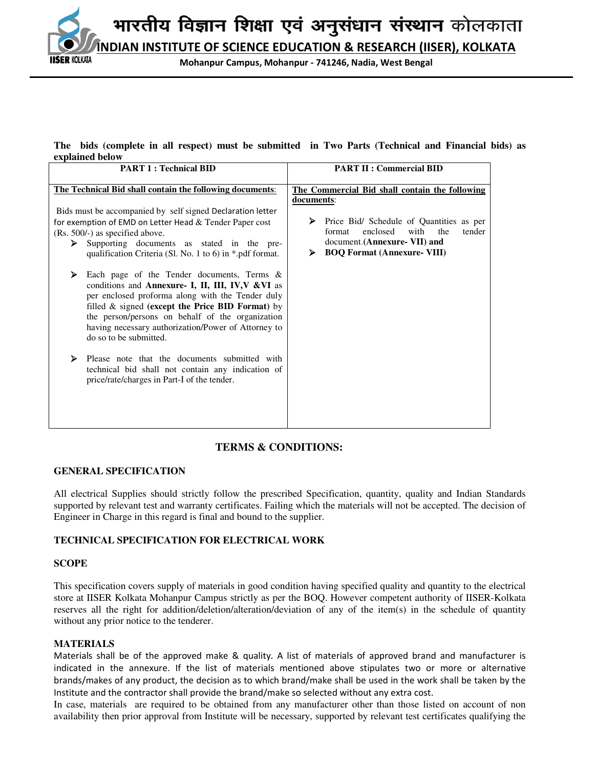**INDIAN INSTITUTE OF SCIENCE EDUCATION & RESEARCH (IISER), KOLKATA**

**Mohanpur Campus, Mohanpur - 741246, Nadia, West Bengal**

#### **The bids (complete in all respect) must be submitted in Two Parts (Technical and Financial bids) as explained below**

| <b>PART 1: Technical BID</b>                                                                                                                                                                                                                                                                                                                                                                                                                                                                                      | <b>PART II: Commercial BID</b>                                                                                                                                           |  |  |  |
|-------------------------------------------------------------------------------------------------------------------------------------------------------------------------------------------------------------------------------------------------------------------------------------------------------------------------------------------------------------------------------------------------------------------------------------------------------------------------------------------------------------------|--------------------------------------------------------------------------------------------------------------------------------------------------------------------------|--|--|--|
| The Technical Bid shall contain the following documents:                                                                                                                                                                                                                                                                                                                                                                                                                                                          | The Commercial Bid shall contain the following<br>documents:                                                                                                             |  |  |  |
| Bids must be accompanied by self signed Declaration letter<br>for exemption of EMD on Letter Head $&$ Tender Paper cost<br>(Rs. 500/-) as specified above.<br>Supporting documents as stated in the pre-<br>⋗<br>qualification Criteria (Sl. No. 1 to 6) in *.pdf format.                                                                                                                                                                                                                                         | Price Bid/ Schedule of Quantities as per<br>➤<br>enclosed<br>with<br>the<br>format<br>tender<br>document. (Annexure- VII) and<br><b>BOQ Format (Annexure- VIII)</b><br>➤ |  |  |  |
| Each page of the Tender documents, Terms $\&$<br>➤<br>conditions and Annexure- I, II, III, IV, V& VI as<br>per enclosed proforma along with the Tender duly<br>filled $\&$ signed (except the Price BID Format) by<br>the person/persons on behalf of the organization<br>having necessary authorization/Power of Attorney to<br>do so to be submitted.<br>≻<br>Please note that the documents submitted with<br>technical bid shall not contain any indication of<br>price/rate/charges in Part-I of the tender. |                                                                                                                                                                          |  |  |  |
|                                                                                                                                                                                                                                                                                                                                                                                                                                                                                                                   |                                                                                                                                                                          |  |  |  |

## **TERMS & CONDITIONS:**

## **GENERAL SPECIFICATION**

All electrical Supplies should strictly follow the prescribed Specification, quantity, quality and Indian Standards supported by relevant test and warranty certificates. Failing which the materials will not be accepted. The decision of Engineer in Charge in this regard is final and bound to the supplier.

## **TECHNICAL SPECIFICATION FOR ELECTRICAL WORK**

## **SCOPE**

SER KOLKATA

This specification covers supply of materials in good condition having specified quality and quantity to the electrical store at IISER Kolkata Mohanpur Campus strictly as per the BOQ. However competent authority of IISER-Kolkata reserves all the right for addition/deletion/alteration/deviation of any of the item(s) in the schedule of quantity without any prior notice to the tenderer.

## **MATERIALS**

Materials shall be of the approved make & quality. A list of materials of approved brand and manufacturer is indicated in the annexure. If the list of materials mentioned above stipulates two or more or alternative brands/makes of any product, the decision as to which brand/make shall be used in the work shall be taken by the Institute and the contractor shall provide the brand/make so selected without any extra cost.

In case, materials are required to be obtained from any manufacturer other than those listed on account of non availability then prior approval from Institute will be necessary, supported by relevant test certificates qualifying the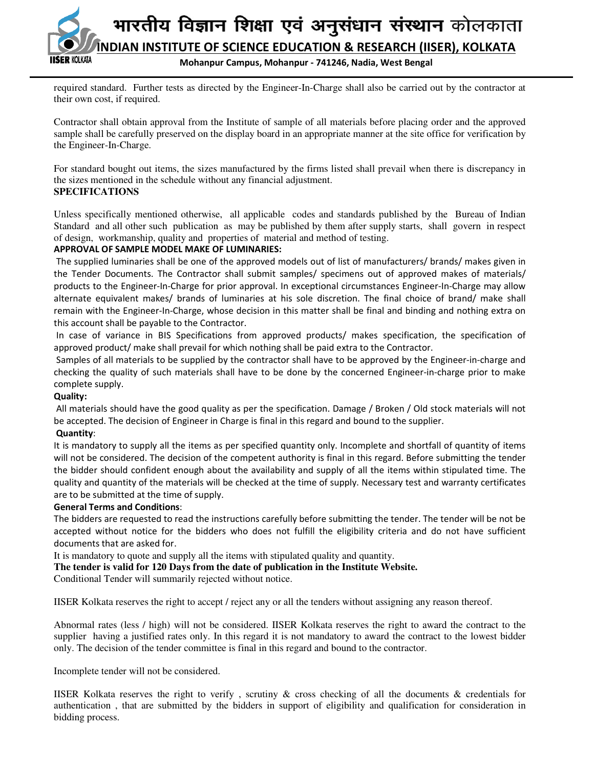

required standard. Further tests as directed by the Engineer-In-Charge shall also be carried out by the contractor at their own cost, if required.

Contractor shall obtain approval from the Institute of sample of all materials before placing order and the approved sample shall be carefully preserved on the display board in an appropriate manner at the site office for verification by the Engineer-In-Charge.

For standard bought out items, the sizes manufactured by the firms listed shall prevail when there is discrepancy in the sizes mentioned in the schedule without any financial adjustment. **SPECIFICATIONS** 

Unless specifically mentioned otherwise, all applicable codes and standards published by the Bureau of Indian Standard and all other such publication as may be published by them after supply starts, shall govern in respect of design, workmanship, quality and properties of material and method of testing.

## **APPROVAL OF SAMPLE MODEL MAKE OF LUMINARIES:**

 The supplied luminaries shall be one of the approved models out of list of manufacturers/ brands/ makes given in the Tender Documents. The Contractor shall submit samples/ specimens out of approved makes of materials/ products to the Engineer-In-Charge for prior approval. In exceptional circumstances Engineer-In-Charge may allow alternate equivalent makes/ brands of luminaries at his sole discretion. The final choice of brand/ make shall remain with the Engineer-In-Charge, whose decision in this matter shall be final and binding and nothing extra on this account shall be payable to the Contractor.

 In case of variance in BIS Specifications from approved products/ makes specification, the specification of approved product/ make shall prevail for which nothing shall be paid extra to the Contractor.

 Samples of all materials to be supplied by the contractor shall have to be approved by the Engineer-in-charge and checking the quality of such materials shall have to be done by the concerned Engineer-in-charge prior to make complete supply.

## **Quality:**

 All materials should have the good quality as per the specification. Damage / Broken / Old stock materials will not be accepted. The decision of Engineer in Charge is final in this regard and bound to the supplier.

## **Quantity**:

It is mandatory to supply all the items as per specified quantity only. Incomplete and shortfall of quantity of items will not be considered. The decision of the competent authority is final in this regard. Before submitting the tender the bidder should confident enough about the availability and supply of all the items within stipulated time. The quality and quantity of the materials will be checked at the time of supply. Necessary test and warranty certificates are to be submitted at the time of supply.

## **General Terms and Conditions**:

The bidders are requested to read the instructions carefully before submitting the tender. The tender will be not be accepted without notice for the bidders who does not fulfill the eligibility criteria and do not have sufficient documents that are asked for.

It is mandatory to quote and supply all the items with stipulated quality and quantity.

**The tender is valid for 120 Days from the date of publication in the Institute Website.** 

Conditional Tender will summarily rejected without notice.

IISER Kolkata reserves the right to accept / reject any or all the tenders without assigning any reason thereof.

Abnormal rates (less / high) will not be considered. IISER Kolkata reserves the right to award the contract to the supplier having a justified rates only. In this regard it is not mandatory to award the contract to the lowest bidder only. The decision of the tender committee is final in this regard and bound to the contractor.

Incomplete tender will not be considered.

IISER Kolkata reserves the right to verify , scrutiny & cross checking of all the documents & credentials for authentication , that are submitted by the bidders in support of eligibility and qualification for consideration in bidding process.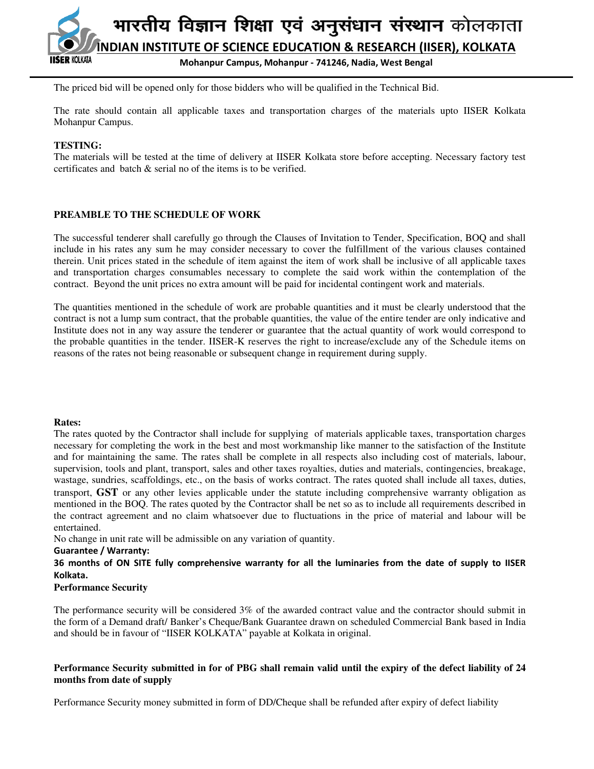

The priced bid will be opened only for those bidders who will be qualified in the Technical Bid.

The rate should contain all applicable taxes and transportation charges of the materials upto IISER Kolkata Mohanpur Campus.

## **TESTING:**

The materials will be tested at the time of delivery at IISER Kolkata store before accepting. Necessary factory test certificates and batch & serial no of the items is to be verified.

## **PREAMBLE TO THE SCHEDULE OF WORK**

The successful tenderer shall carefully go through the Clauses of Invitation to Tender, Specification, BOQ and shall include in his rates any sum he may consider necessary to cover the fulfillment of the various clauses contained therein. Unit prices stated in the schedule of item against the item of work shall be inclusive of all applicable taxes and transportation charges consumables necessary to complete the said work within the contemplation of the contract. Beyond the unit prices no extra amount will be paid for incidental contingent work and materials.

The quantities mentioned in the schedule of work are probable quantities and it must be clearly understood that the contract is not a lump sum contract, that the probable quantities, the value of the entire tender are only indicative and Institute does not in any way assure the tenderer or guarantee that the actual quantity of work would correspond to the probable quantities in the tender. IISER-K reserves the right to increase/exclude any of the Schedule items on reasons of the rates not being reasonable or subsequent change in requirement during supply.

#### **Rates:**

The rates quoted by the Contractor shall include for supplying of materials applicable taxes, transportation charges necessary for completing the work in the best and most workmanship like manner to the satisfaction of the Institute and for maintaining the same. The rates shall be complete in all respects also including cost of materials, labour, supervision, tools and plant, transport, sales and other taxes royalties, duties and materials, contingencies, breakage, wastage, sundries, scaffoldings, etc., on the basis of works contract. The rates quoted shall include all taxes, duties, transport, **GST** or any other levies applicable under the statute including comprehensive warranty obligation as mentioned in the BOQ. The rates quoted by the Contractor shall be net so as to include all requirements described in the contract agreement and no claim whatsoever due to fluctuations in the price of material and labour will be entertained.

No change in unit rate will be admissible on any variation of quantity.

#### **Guarantee / Warranty:**

**36 months of ON SITE fully comprehensive warranty for all the luminaries from the date of supply to IISER Kolkata.** 

## **Performance Security**

The performance security will be considered 3% of the awarded contract value and the contractor should submit in the form of a Demand draft/ Banker's Cheque/Bank Guarantee drawn on scheduled Commercial Bank based in India and should be in favour of "IISER KOLKATA" payable at Kolkata in original.

## **Performance Security submitted in for of PBG shall remain valid until the expiry of the defect liability of 24 months from date of supply**

Performance Security money submitted in form of DD/Cheque shall be refunded after expiry of defect liability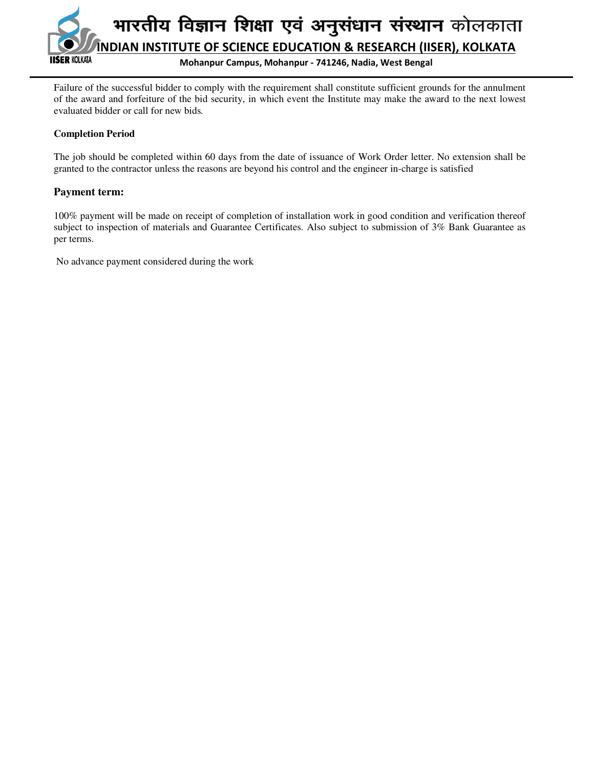

**Mohanpur Campus, Mohanpur - 741246, Nadia, West Bengal**

Failure of the successful bidder to comply with the requirement shall constitute sufficient grounds for the annulment of the award and forfeiture of the bid security, in which event the Institute may make the award to the next lowest evaluated bidder or call for new bids*.* 

## **Completion Period**

The job should be completed within 60 days from the date of issuance of Work Order letter. No extension shall be granted to the contractor unless the reasons are beyond his control and the engineer in-charge is satisfied

## **Payment term:**

100% payment will be made on receipt of completion of installation work in good condition and verification thereof subject to inspection of materials and Guarantee Certificates. Also subject to submission of 3% Bank Guarantee as per terms.

No advance payment considered during the work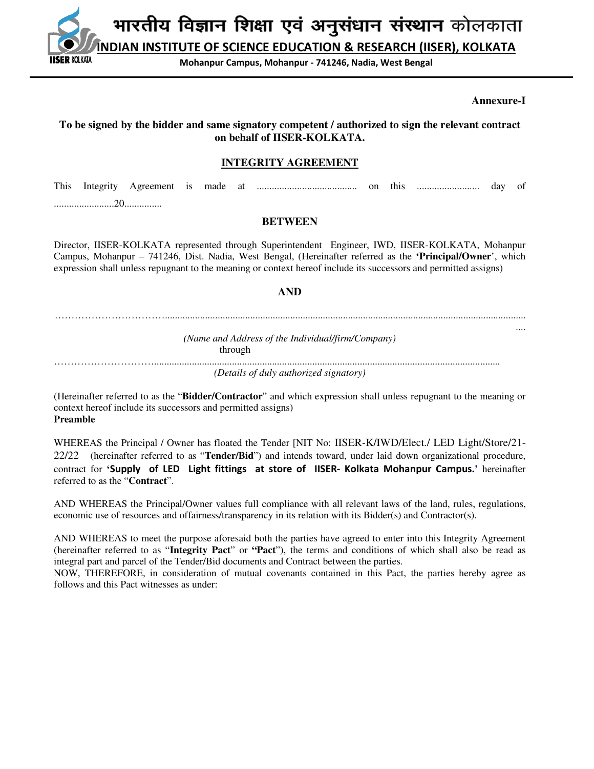**INDIAN INSTITUTE OF SCIENCE EDUCATION & RESEARCH (IISER), KOLKATA**

**Mohanpur Campus, Mohanpur - 741246, Nadia, West Bengal**

#### **Annexure-I**

## **To be signed by the bidder and same signatory competent / authorized to sign the relevant contract on behalf of IISER-KOLKATA.**

**ER KOLKATA** 

## **INTEGRITY AGREEMENT**

This Integrity Agreement is made at ........................................ on this ......................... day of ........................20...............

#### **BETWEEN**

Director, IISER-KOLKATA represented through Superintendent Engineer, IWD, IISER-KOLKATA, Mohanpur Campus, Mohanpur – 741246, Dist. Nadia, West Bengal, (Hereinafter referred as the **'Principal/Owner**', which expression shall unless repugnant to the meaning or context hereof include its successors and permitted assigns)

#### **AND**

……………………………................................................................................................................................................ ....

*(Name and Address of the Individual/firm/Company)*  through …………………………..........................................................................................................................................

*(Details of duly authorized signatory)* 

(Hereinafter referred to as the "**Bidder/Contractor**" and which expression shall unless repugnant to the meaning or context hereof include its successors and permitted assigns) **Preamble** 

WHEREAS the Principal / Owner has floated the Tender [NIT No: IISER-K/IWD/Elect./ LED Light/Store/21- 22/22 (hereinafter referred to as "**Tender/Bid**") and intends toward, under laid down organizational procedure, contract for **'Supply of LED Light fittings at store of IISER- Kolkata Mohanpur Campus.'** hereinafter referred to as the "**Contract**".

AND WHEREAS the Principal/Owner values full compliance with all relevant laws of the land, rules, regulations, economic use of resources and offairness/transparency in its relation with its Bidder(s) and Contractor(s).

AND WHEREAS to meet the purpose aforesaid both the parties have agreed to enter into this Integrity Agreement (hereinafter referred to as "**Integrity Pact**" or **"Pact**"), the terms and conditions of which shall also be read as integral part and parcel of the Tender/Bid documents and Contract between the parties.

NOW, THEREFORE, in consideration of mutual covenants contained in this Pact, the parties hereby agree as follows and this Pact witnesses as under: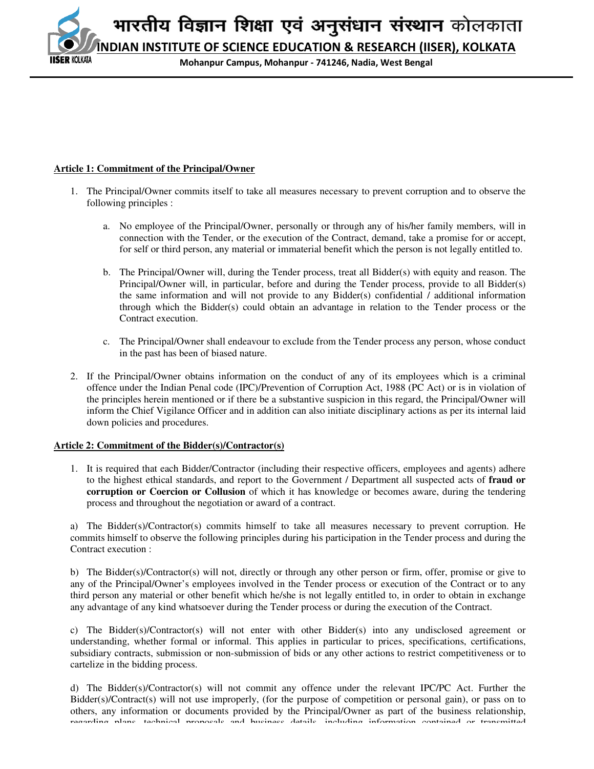**INDIAN INSTITUTE OF SCIENCE EDUCATION & RESEARCH (IISER), KOLKATA ER KOLKATA** 

**Mohanpur Campus, Mohanpur - 741246, Nadia, West Bengal**

## **Article 1: Commitment of the Principal/Owner**

- 1. The Principal/Owner commits itself to take all measures necessary to prevent corruption and to observe the following principles :
	- a. No employee of the Principal/Owner, personally or through any of his/her family members, will in connection with the Tender, or the execution of the Contract, demand, take a promise for or accept, for self or third person, any material or immaterial benefit which the person is not legally entitled to.
	- b. The Principal/Owner will, during the Tender process, treat all Bidder(s) with equity and reason. The Principal/Owner will, in particular, before and during the Tender process, provide to all Bidder(s) the same information and will not provide to any Bidder(s) confidential / additional information through which the Bidder(s) could obtain an advantage in relation to the Tender process or the Contract execution.
	- c. The Principal/Owner shall endeavour to exclude from the Tender process any person, whose conduct in the past has been of biased nature.
- 2. If the Principal/Owner obtains information on the conduct of any of its employees which is a criminal offence under the Indian Penal code (IPC)/Prevention of Corruption Act, 1988 (PC Act) or is in violation of the principles herein mentioned or if there be a substantive suspicion in this regard, the Principal/Owner will inform the Chief Vigilance Officer and in addition can also initiate disciplinary actions as per its internal laid down policies and procedures.

## **Article 2: Commitment of the Bidder(s)/Contractor(s)**

1. It is required that each Bidder/Contractor (including their respective officers, employees and agents) adhere to the highest ethical standards, and report to the Government / Department all suspected acts of **fraud or corruption or Coercion or Collusion** of which it has knowledge or becomes aware, during the tendering process and throughout the negotiation or award of a contract.

a) The Bidder(s)/Contractor(s) commits himself to take all measures necessary to prevent corruption. He commits himself to observe the following principles during his participation in the Tender process and during the Contract execution :

b) The Bidder(s)/Contractor(s) will not, directly or through any other person or firm, offer, promise or give to any of the Principal/Owner's employees involved in the Tender process or execution of the Contract or to any third person any material or other benefit which he/she is not legally entitled to, in order to obtain in exchange any advantage of any kind whatsoever during the Tender process or during the execution of the Contract.

c) The Bidder(s)/Contractor(s) will not enter with other Bidder(s) into any undisclosed agreement or understanding, whether formal or informal. This applies in particular to prices, specifications, certifications, subsidiary contracts, submission or non-submission of bids or any other actions to restrict competitiveness or to cartelize in the bidding process.

d) The Bidder(s)/Contractor(s) will not commit any offence under the relevant IPC/PC Act. Further the Bidder(s)/Contract(s) will not use improperly, (for the purpose of competition or personal gain), or pass on to others, any information or documents provided by the Principal/Owner as part of the business relationship, regarding plans, technical proposals and business details, including information contained or transmitted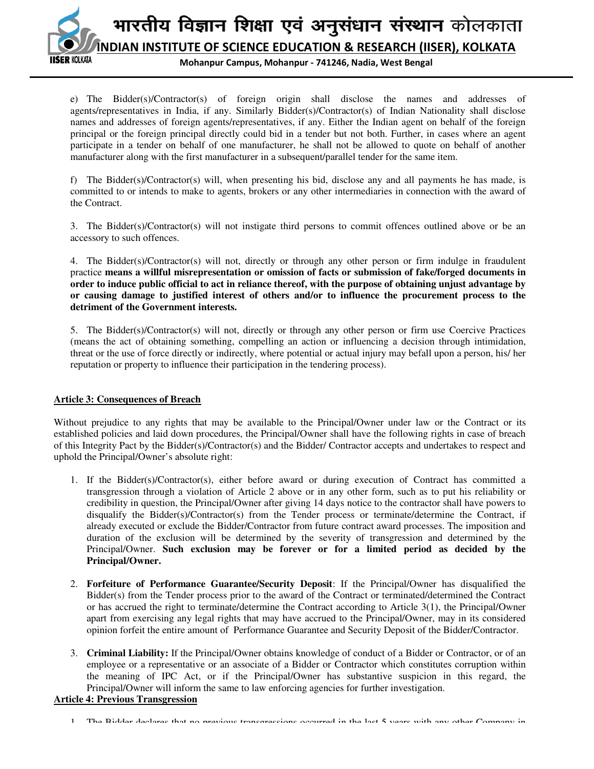भारतीय विज्ञान शिक्षा एवं अनुसंधान संस्थान कोलकाता **INDIAN INSTITUTE OF SCIENCE EDUCATION & RESEARCH (IISER), KOLKATA SER KOLKATA Mohanpur Campus, Mohanpur - 741246, Nadia, West Bengal**

e) The Bidder(s)/Contractor(s) of foreign origin shall disclose the names and addresses of agents/representatives in India, if any. Similarly Bidder(s)/Contractor(s) of Indian Nationality shall disclose names and addresses of foreign agents/representatives, if any. Either the Indian agent on behalf of the foreign principal or the foreign principal directly could bid in a tender but not both. Further, in cases where an agent participate in a tender on behalf of one manufacturer, he shall not be allowed to quote on behalf of another manufacturer along with the first manufacturer in a subsequent/parallel tender for the same item.

f) The Bidder(s)/Contractor(s) will, when presenting his bid, disclose any and all payments he has made, is committed to or intends to make to agents, brokers or any other intermediaries in connection with the award of the Contract.

3. The Bidder(s)/Contractor(s) will not instigate third persons to commit offences outlined above or be an accessory to such offences.

4. The Bidder(s)/Contractor(s) will not, directly or through any other person or firm indulge in fraudulent practice **means a willful misrepresentation or omission of facts or submission of fake/forged documents in order to induce public official to act in reliance thereof, with the purpose of obtaining unjust advantage by or causing damage to justified interest of others and/or to influence the procurement process to the detriment of the Government interests.**

5. The Bidder(s)/Contractor(s) will not, directly or through any other person or firm use Coercive Practices (means the act of obtaining something, compelling an action or influencing a decision through intimidation, threat or the use of force directly or indirectly, where potential or actual injury may befall upon a person, his/ her reputation or property to influence their participation in the tendering process).

## **Article 3: Consequences of Breach**

Without prejudice to any rights that may be available to the Principal/Owner under law or the Contract or its established policies and laid down procedures, the Principal/Owner shall have the following rights in case of breach of this Integrity Pact by the Bidder(s)/Contractor(s) and the Bidder/ Contractor accepts and undertakes to respect and uphold the Principal/Owner's absolute right:

- 1. If the Bidder(s)/Contractor(s), either before award or during execution of Contract has committed a transgression through a violation of Article 2 above or in any other form, such as to put his reliability or credibility in question, the Principal/Owner after giving 14 days notice to the contractor shall have powers to disqualify the Bidder(s)/Contractor(s) from the Tender process or terminate/determine the Contract, if already executed or exclude the Bidder/Contractor from future contract award processes. The imposition and duration of the exclusion will be determined by the severity of transgression and determined by the Principal/Owner. **Such exclusion may be forever or for a limited period as decided by the Principal/Owner.**
- 2. **Forfeiture of Performance Guarantee/Security Deposit**: If the Principal/Owner has disqualified the Bidder(s) from the Tender process prior to the award of the Contract or terminated/determined the Contract or has accrued the right to terminate/determine the Contract according to Article 3(1), the Principal/Owner apart from exercising any legal rights that may have accrued to the Principal/Owner, may in its considered opinion forfeit the entire amount of Performance Guarantee and Security Deposit of the Bidder/Contractor.
- 3. **Criminal Liability:** If the Principal/Owner obtains knowledge of conduct of a Bidder or Contractor, or of an employee or a representative or an associate of a Bidder or Contractor which constitutes corruption within the meaning of IPC Act, or if the Principal/Owner has substantive suspicion in this regard, the Principal/Owner will inform the same to law enforcing agencies for further investigation.

## **Article 4: Previous Transgression**

<sup>1.</sup> The Bidder declares that no previous transgressions occurred in the last 5 years with any other Company in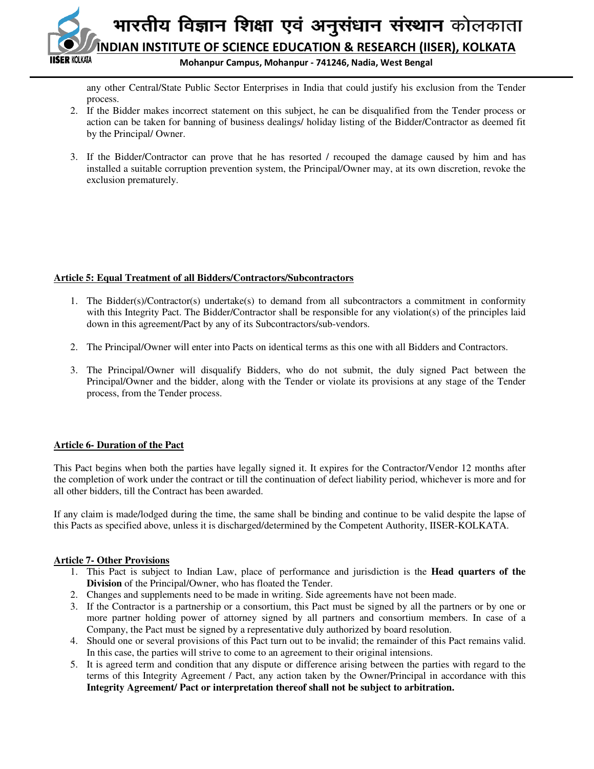

any other Central/State Public Sector Enterprises in India that could justify his exclusion from the Tender process.

- 2. If the Bidder makes incorrect statement on this subject, he can be disqualified from the Tender process or action can be taken for banning of business dealings/ holiday listing of the Bidder/Contractor as deemed fit by the Principal/ Owner.
- 3. If the Bidder/Contractor can prove that he has resorted / recouped the damage caused by him and has installed a suitable corruption prevention system, the Principal/Owner may, at its own discretion, revoke the exclusion prematurely.

## **Article 5: Equal Treatment of all Bidders/Contractors/Subcontractors**

- 1. The Bidder(s)/Contractor(s) undertake(s) to demand from all subcontractors a commitment in conformity with this Integrity Pact. The Bidder/Contractor shall be responsible for any violation(s) of the principles laid down in this agreement/Pact by any of its Subcontractors/sub-vendors.
- 2. The Principal/Owner will enter into Pacts on identical terms as this one with all Bidders and Contractors.
- 3. The Principal/Owner will disqualify Bidders, who do not submit, the duly signed Pact between the Principal/Owner and the bidder, along with the Tender or violate its provisions at any stage of the Tender process, from the Tender process.

## **Article 6- Duration of the Pact**

This Pact begins when both the parties have legally signed it. It expires for the Contractor/Vendor 12 months after the completion of work under the contract or till the continuation of defect liability period, whichever is more and for all other bidders, till the Contract has been awarded.

If any claim is made/lodged during the time, the same shall be binding and continue to be valid despite the lapse of this Pacts as specified above, unless it is discharged/determined by the Competent Authority, IISER-KOLKATA.

## **Article 7- Other Provisions**

- 1. This Pact is subject to Indian Law, place of performance and jurisdiction is the **Head quarters of the Division** of the Principal/Owner, who has floated the Tender.
- 2. Changes and supplements need to be made in writing. Side agreements have not been made.
- 3. If the Contractor is a partnership or a consortium, this Pact must be signed by all the partners or by one or more partner holding power of attorney signed by all partners and consortium members. In case of a Company, the Pact must be signed by a representative duly authorized by board resolution.
- 4. Should one or several provisions of this Pact turn out to be invalid; the remainder of this Pact remains valid. In this case, the parties will strive to come to an agreement to their original intensions.
- 5. It is agreed term and condition that any dispute or difference arising between the parties with regard to the terms of this Integrity Agreement / Pact, any action taken by the Owner/Principal in accordance with this **Integrity Agreement/ Pact or interpretation thereof shall not be subject to arbitration.**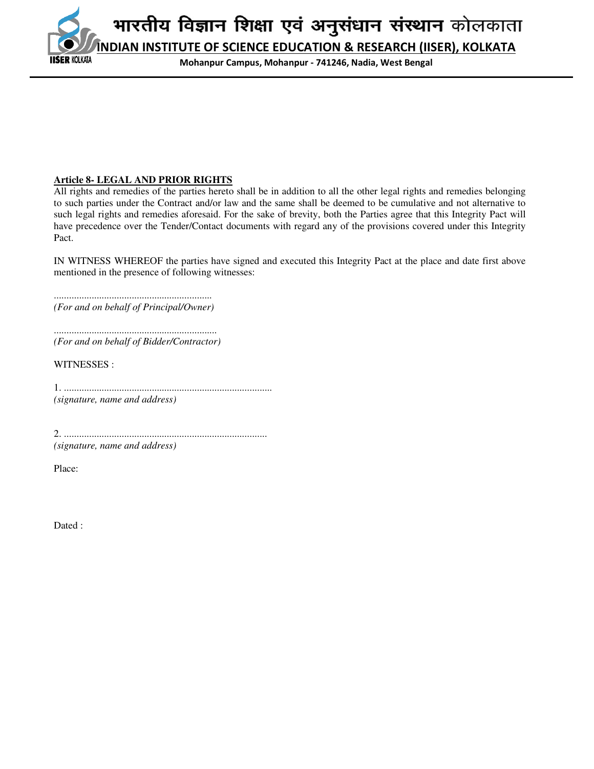**INDIAN INSTITUTE OF SCIENCE EDUCATION & RESEARCH (IISER), KOLKATA ER KOLKATA** 

**Mohanpur Campus, Mohanpur - 741246, Nadia, West Bengal**

## **Article 8- LEGAL AND PRIOR RIGHTS**

All rights and remedies of the parties hereto shall be in addition to all the other legal rights and remedies belonging to such parties under the Contract and/or law and the same shall be deemed to be cumulative and not alternative to such legal rights and remedies aforesaid. For the sake of brevity, both the Parties agree that this Integrity Pact will have precedence over the Tender/Contact documents with regard any of the provisions covered under this Integrity Pact.

IN WITNESS WHEREOF the parties have signed and executed this Integrity Pact at the place and date first above mentioned in the presence of following witnesses:

............................................................... *(For and on behalf of Principal/Owner)* 

................................................................. *(For and on behalf of Bidder/Contractor)* 

WITNESSES :

1. ................................................................................... *(signature, name and address)* 

2. ................................................................................. *(signature, name and address)* 

Place:

Dated :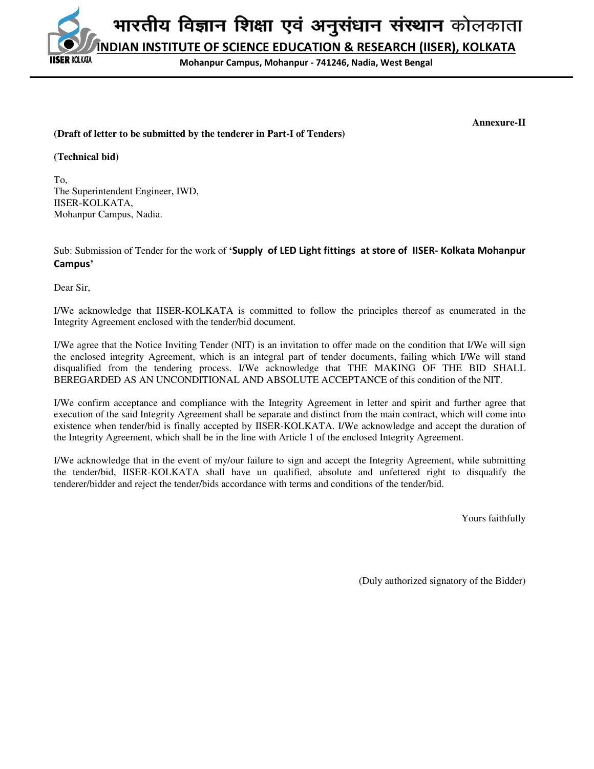**INDIAN INSTITUTE OF SCIENCE EDUCATION & RESEARCH (IISER), KOLKATA** SER KOLKATA

**Mohanpur Campus, Mohanpur - 741246, Nadia, West Bengal**

## **(Draft of letter to be submitted by the tenderer in Part-I of Tenders)**

**Annexure-II** 

#### **(Technical bid)**

To, The Superintendent Engineer, IWD, IISER-KOLKATA, Mohanpur Campus, Nadia.

Sub: Submission of Tender for the work of **'Supply of LED Light fittings at store of IISER- Kolkata Mohanpur Campus'** 

Dear Sir,

I/We acknowledge that IISER-KOLKATA is committed to follow the principles thereof as enumerated in the Integrity Agreement enclosed with the tender/bid document.

I/We agree that the Notice Inviting Tender (NIT) is an invitation to offer made on the condition that I/We will sign the enclosed integrity Agreement, which is an integral part of tender documents, failing which I/We will stand disqualified from the tendering process. I/We acknowledge that THE MAKING OF THE BID SHALL BEREGARDED AS AN UNCONDITIONAL AND ABSOLUTE ACCEPTANCE of this condition of the NIT.

I/We confirm acceptance and compliance with the Integrity Agreement in letter and spirit and further agree that execution of the said Integrity Agreement shall be separate and distinct from the main contract, which will come into existence when tender/bid is finally accepted by IISER-KOLKATA. I/We acknowledge and accept the duration of the Integrity Agreement, which shall be in the line with Article 1 of the enclosed Integrity Agreement.

I/We acknowledge that in the event of my/our failure to sign and accept the Integrity Agreement, while submitting the tender/bid, IISER-KOLKATA shall have un qualified, absolute and unfettered right to disqualify the tenderer/bidder and reject the tender/bids accordance with terms and conditions of the tender/bid.

Yours faithfully

(Duly authorized signatory of the Bidder)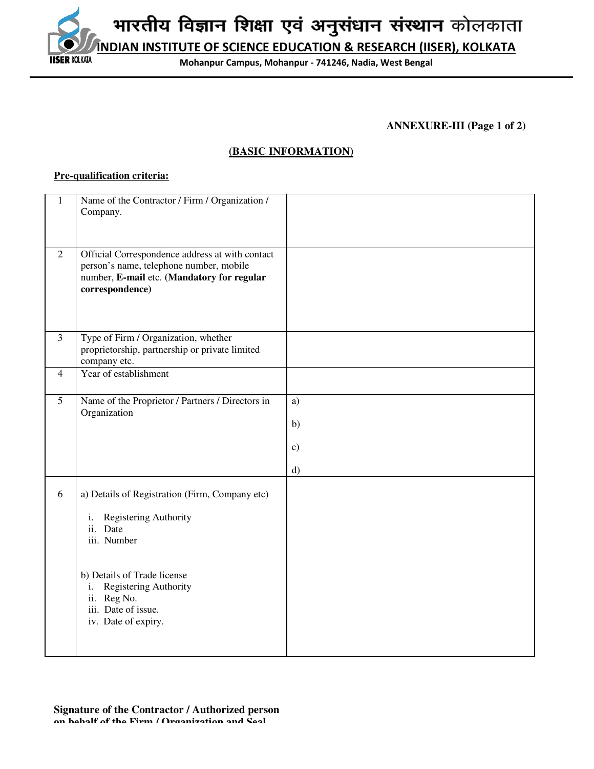**INDIAN INSTITUTE OF SCIENCE EDUCATION & RESEARCH (IISER), KOLKATA IISER KOLKATA** 

**Mohanpur Campus, Mohanpur - 741246, Nadia, West Bengal**

**ANNEXURE-III (Page 1 of 2)** 

# **(BASIC INFORMATION)**

## **Pre-qualification criteria:**

| $\mathbf{1}$   | Name of the Contractor / Firm / Organization /<br>Company.                                                                                                                                                                                |                                 |
|----------------|-------------------------------------------------------------------------------------------------------------------------------------------------------------------------------------------------------------------------------------------|---------------------------------|
| $\overline{2}$ | Official Correspondence address at with contact<br>person's name, telephone number, mobile<br>number, E-mail etc. (Mandatory for regular<br>correspondence)                                                                               |                                 |
| $\overline{3}$ | Type of Firm / Organization, whether<br>proprietorship, partnership or private limited<br>company etc.                                                                                                                                    |                                 |
| $\overline{4}$ | Year of establishment                                                                                                                                                                                                                     |                                 |
| 5              | Name of the Proprietor / Partners / Directors in<br>Organization                                                                                                                                                                          | a)<br>b)<br>$\mathbf{c})$<br>d) |
| 6              | a) Details of Registration (Firm, Company etc)<br>Registering Authority<br>i.<br>ii.<br>Date<br>iii. Number<br>b) Details of Trade license<br>Registering Authority<br>i.<br>Reg No.<br>ii.<br>iii. Date of issue.<br>iv. Date of expiry. |                                 |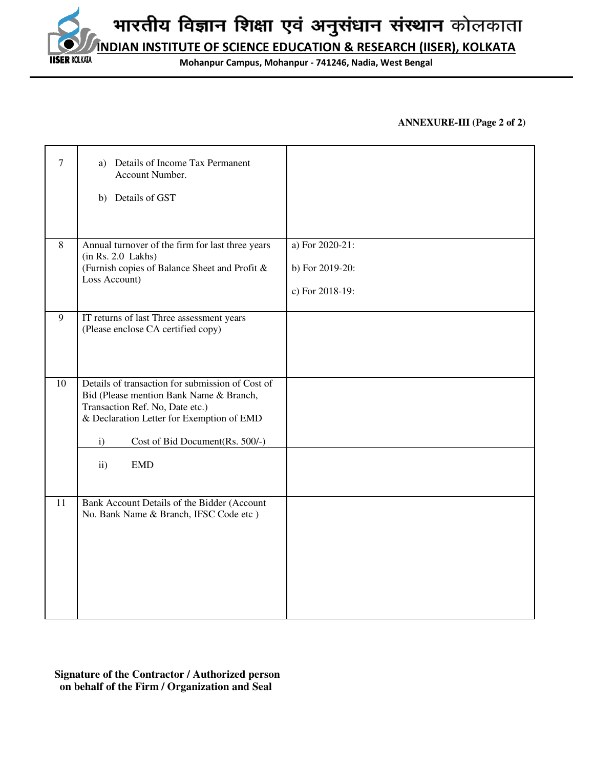**INDIAN INSTITUTE OF SCIENCE EDUCATION & RESEARCH (IISER), KOLKATA**

**Mohanpur Campus, Mohanpur - 741246, Nadia, West Bengal**

## **ANNEXURE-III (Page 2 of 2)**

| 7  | Details of Income Tax Permanent<br>a)<br>Account Number.<br>b) Details of GST                                                                                                                                                                                       |                                                       |
|----|---------------------------------------------------------------------------------------------------------------------------------------------------------------------------------------------------------------------------------------------------------------------|-------------------------------------------------------|
| 8  | Annual turnover of the firm for last three years<br>(in Rs. 2.0 Lakhs)<br>(Furnish copies of Balance Sheet and Profit &<br>Loss Account)                                                                                                                            | a) For 2020-21:<br>b) For 2019-20:<br>c) For 2018-19: |
| 9  | IT returns of last Three assessment years<br>(Please enclose CA certified copy)                                                                                                                                                                                     |                                                       |
| 10 | Details of transaction for submission of Cost of<br>Bid (Please mention Bank Name & Branch,<br>Transaction Ref. No, Date etc.)<br>& Declaration Letter for Exemption of EMD<br>$\mathbf{i}$<br>Cost of Bid Document(Rs. 500/-)<br><b>EMD</b><br>$\ddot{\textbf{i}}$ |                                                       |
| 11 | Bank Account Details of the Bidder (Account<br>No. Bank Name & Branch, IFSC Code etc )                                                                                                                                                                              |                                                       |

 **Signature of the Contractor / Authorized person on behalf of the Firm / Organization and Seal** 

**IISER KOLKATA**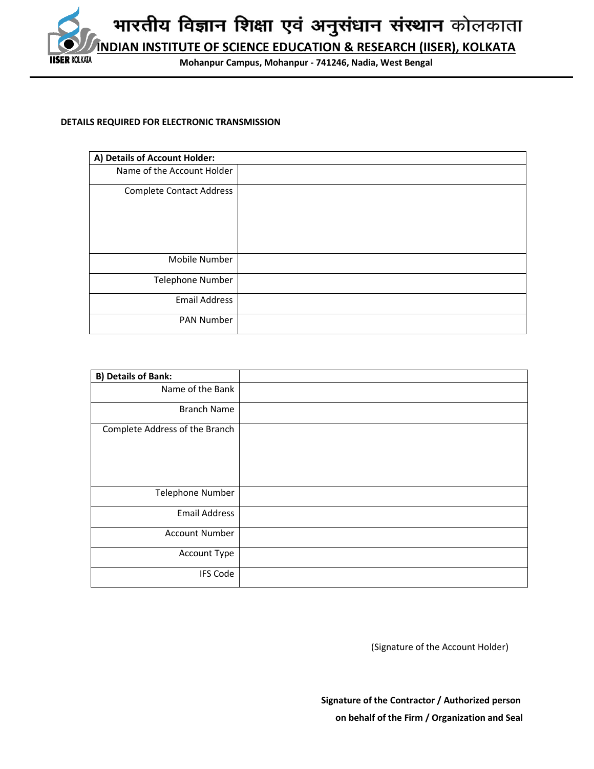

#### **DETAILS REQUIRED FOR ELECTRONIC TRANSMISSION**

| A) Details of Account Holder:   |  |
|---------------------------------|--|
| Name of the Account Holder      |  |
| <b>Complete Contact Address</b> |  |
| Mobile Number                   |  |
| Telephone Number                |  |
| <b>Email Address</b>            |  |
| PAN Number                      |  |

| <b>B) Details of Bank:</b>     |  |
|--------------------------------|--|
| Name of the Bank               |  |
| <b>Branch Name</b>             |  |
| Complete Address of the Branch |  |
| Telephone Number               |  |
| <b>Email Address</b>           |  |
| <b>Account Number</b>          |  |
| Account Type                   |  |
| <b>IFS Code</b>                |  |

(Signature of the Account Holder)

 **Signature of the Contractor / Authorized person on behalf of the Firm / Organization and Seal**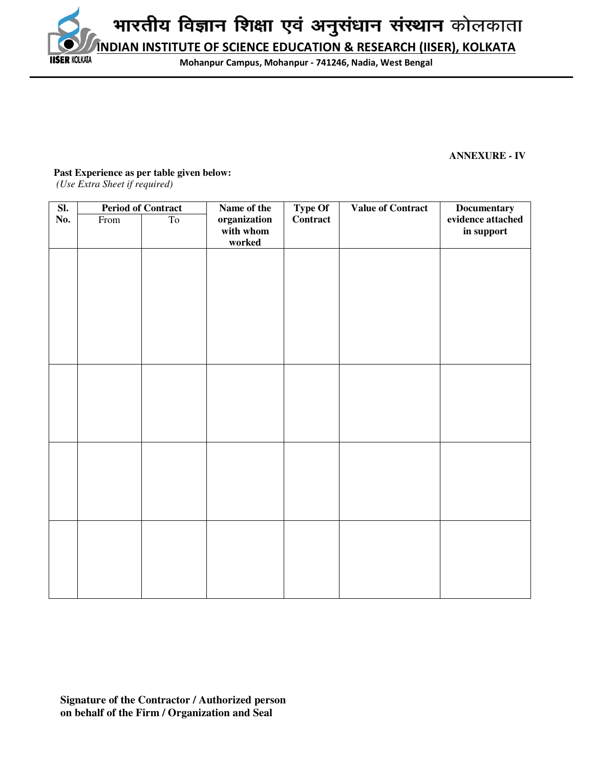**INDIAN INSTITUTE OF SCIENCE EDUCATION & RESEARCH (IISER), KOLKATA IISER KOLKATA** 

**Mohanpur Campus, Mohanpur - 741246, Nadia, West Bengal**

## **ANNEXURE - IV**

**Past Experience as per table given below:** 

 *(Use Extra Sheet if required)* 

| $\overline{\text{SL}}$ |      | <b>Period of Contract</b> | Name of the  | Type Of<br>Contract | <b>Value of Contract</b> | <b>Documentary</b> |
|------------------------|------|---------------------------|--------------|---------------------|--------------------------|--------------------|
| No.                    | From | To                        | organization |                     |                          | evidence attached  |
|                        |      |                           | with whom    |                     |                          | in support         |
|                        |      |                           | worked       |                     |                          |                    |
|                        |      |                           |              |                     |                          |                    |
|                        |      |                           |              |                     |                          |                    |
|                        |      |                           |              |                     |                          |                    |
|                        |      |                           |              |                     |                          |                    |
|                        |      |                           |              |                     |                          |                    |
|                        |      |                           |              |                     |                          |                    |
|                        |      |                           |              |                     |                          |                    |
|                        |      |                           |              |                     |                          |                    |
|                        |      |                           |              |                     |                          |                    |
|                        |      |                           |              |                     |                          |                    |
|                        |      |                           |              |                     |                          |                    |
|                        |      |                           |              |                     |                          |                    |
|                        |      |                           |              |                     |                          |                    |
|                        |      |                           |              |                     |                          |                    |
|                        |      |                           |              |                     |                          |                    |
|                        |      |                           |              |                     |                          |                    |
|                        |      |                           |              |                     |                          |                    |
|                        |      |                           |              |                     |                          |                    |
|                        |      |                           |              |                     |                          |                    |
|                        |      |                           |              |                     |                          |                    |
|                        |      |                           |              |                     |                          |                    |
|                        |      |                           |              |                     |                          |                    |
|                        |      |                           |              |                     |                          |                    |
|                        |      |                           |              |                     |                          |                    |
|                        |      |                           |              |                     |                          |                    |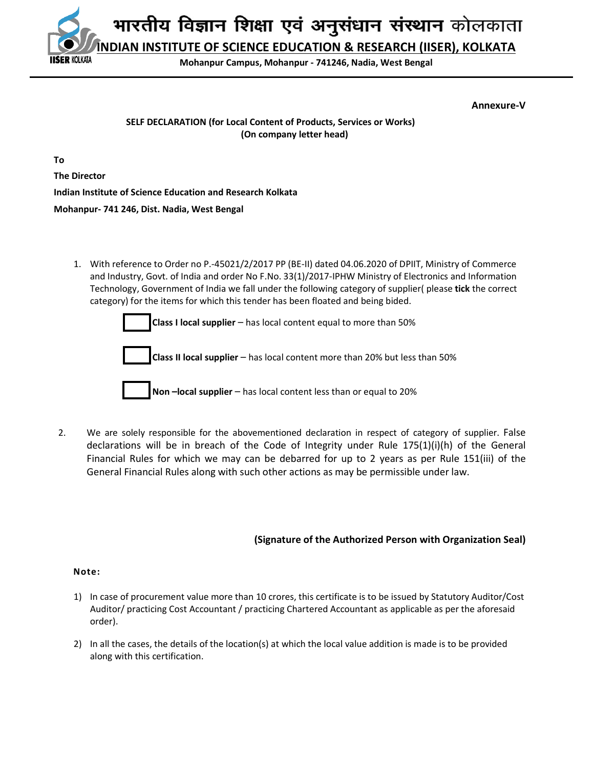**INDIAN INSTITUTE OF SCIENCE EDUCATION & RESEARCH (IISER), KOLKATA**

**Mohanpur Campus, Mohanpur - 741246, Nadia, West Bengal**

**Annexure-V** 

## **SELF DECLARATION (for Local Content of Products, Services or Works) (On company letter head)**

**To** 

**The Director** 

**ER KOLKATA** 

**Indian Institute of Science Education and Research Kolkata** 

**Mohanpur- 741 246, Dist. Nadia, West Bengal** 

1. With reference to Order no P.-45021/2/2017 PP (BE-II) dated 04.06.2020 of DPIIT, Ministry of Commerce and Industry, Govt. of India and order No F.No. 33(1)/2017-IPHW Ministry of Electronics and Information Technology, Government of India we fall under the following category of supplier( please **tick** the correct category) for the items for which this tender has been floated and being bided.



 2. We are solely responsible for the abovementioned declaration in respect of category of supplier. False declarations will be in breach of the Code of Integrity under Rule  $175(1)(i)(h)$  of the General Financial Rules for which we may can be debarred for up to 2 years as per Rule 151(iii) of the General Financial Rules along with such other actions as may be permissible under law.

## **(Signature of the Authorized Person with Organization Seal)**

## **Note:**

- 1) In case of procurement value more than 10 crores, this certificate is to be issued by Statutory Auditor/Cost Auditor/ practicing Cost Accountant / practicing Chartered Accountant as applicable as per the aforesaid order).
- 2) In all the cases, the details of the location(s) at which the local value addition is made is to be provided along with this certification.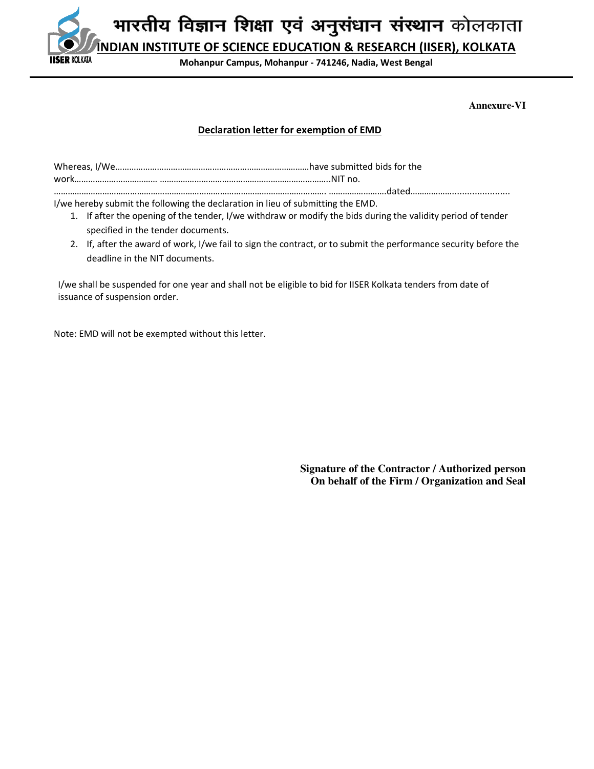

**Mohanpur Campus, Mohanpur - 741246, Nadia, West Bengal**

**Annexure-VI** 

## **Declaration letter for exemption of EMD**

I/we hereby submit the following the declaration in lieu of submitting the EMD.

- 1. If after the opening of the tender, I/we withdraw or modify the bids during the validity period of tender specified in the tender documents.
- 2. If, after the award of work, I/we fail to sign the contract, or to submit the performance security before the deadline in the NIT documents.

I/we shall be suspended for one year and shall not be eligible to bid for IISER Kolkata tenders from date of issuance of suspension order.

Note: EMD will not be exempted without this letter.

**Signature of the Contractor / Authorized person On behalf of the Firm / Organization and Seal**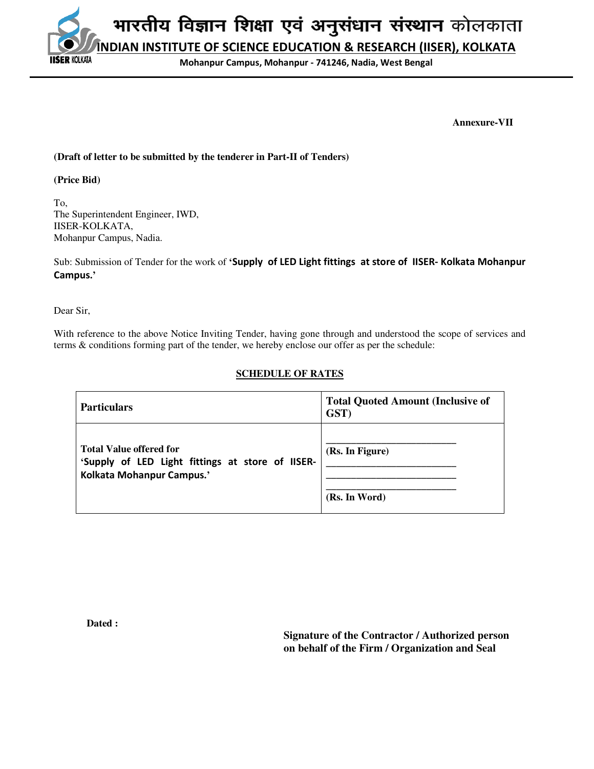भारतीय विज्ञान शिक्षा एवं अनुसंधान संस्थान कोलकाता **INDIAN INSTITUTE OF SCIENCE EDUCATION & RESEARCH (IISER), KOLKATA SER KOLKATA** 

**Mohanpur Campus, Mohanpur - 741246, Nadia, West Bengal**

 **Annexure-VII** 

## **(Draft of letter to be submitted by the tenderer in Part-II of Tenders)**

**(Price Bid)** 

To, The Superintendent Engineer, IWD, IISER-KOLKATA, Mohanpur Campus, Nadia.

Sub: Submission of Tender for the work of **'Supply of LED Light fittings at store of IISER- Kolkata Mohanpur Campus.'** 

Dear Sir,

With reference to the above Notice Inviting Tender, having gone through and understood the scope of services and terms & conditions forming part of the tender, we hereby enclose our offer as per the schedule:

## **SCHEDULE OF RATES**

| <b>Particulars</b>                                                                                              | <b>Total Quoted Amount (Inclusive of</b><br>GST) |
|-----------------------------------------------------------------------------------------------------------------|--------------------------------------------------|
| <b>Total Value offered for</b><br>'Supply of LED Light fittings at store of IISER-<br>Kolkata Mohanpur Campus.' | (Rs. In Figure)<br>(Rs. In Word)                 |

**Dated :** 

 **Signature of the Contractor / Authorized person on behalf of the Firm / Organization and Seal**